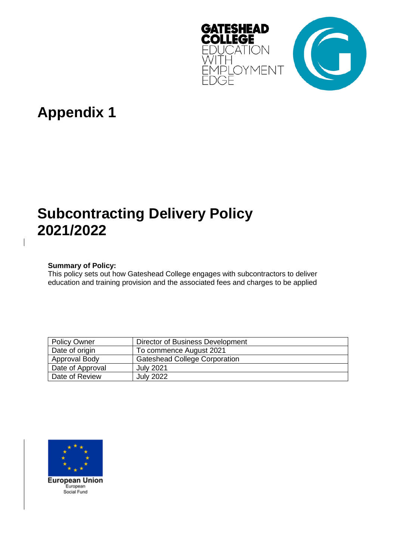

# **Appendix 1**

# **Subcontracting Delivery Policy 2021/2022**

# **Summary of Policy:**

This policy sets out how Gateshead College engages with subcontractors to deliver education and training provision and the associated fees and charges to be applied

| <b>Policy Owner</b> | Director of Business Development     |
|---------------------|--------------------------------------|
| Date of origin      | To commence August 2021              |
| Approval Body       | <b>Gateshead College Corporation</b> |
| Date of Approval    | <b>July 2021</b>                     |
| Date of Review      | <b>July 2022</b>                     |

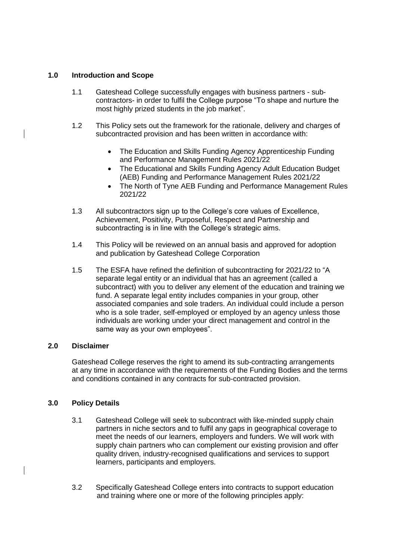### **1.0 Introduction and Scope**

- 1.1 Gateshead College successfully engages with business partners subcontractors- in order to fulfil the College purpose "To shape and nurture the most highly prized students in the job market".
- 1.2 This Policy sets out the framework for the rationale, delivery and charges of subcontracted provision and has been written in accordance with:
	- The Education and Skills Funding Agency Apprenticeship Funding and Performance Management Rules 2021/22
	- The Educational and Skills Funding Agency Adult Education Budget (AEB) Funding and Performance Management Rules 2021/22
	- The North of Tyne AEB Funding and Performance Management Rules 2021/22
- 1.3 All subcontractors sign up to the College's core values of Excellence, Achievement, Positivity, Purposeful, Respect and Partnership and subcontracting is in line with the College's strategic aims.
- 1.4 This Policy will be reviewed on an annual basis and approved for adoption and publication by Gateshead College Corporation
- 1.5 The ESFA have refined the definition of subcontracting for 2021/22 to "A separate legal entity or an individual that has an agreement (called a subcontract) with you to deliver any element of the education and training we fund. A separate legal entity includes companies in your group, other associated companies and sole traders. An individual could include a person who is a sole trader, self-employed or employed by an agency unless those individuals are working under your direct management and control in the same way as your own employees".

#### **2.0 Disclaimer**

Gateshead College reserves the right to amend its sub-contracting arrangements at any time in accordance with the requirements of the Funding Bodies and the terms and conditions contained in any contracts for sub-contracted provision.

## **3.0 Policy Details**

- 3.1 Gateshead College will seek to subcontract with like-minded supply chain partners in niche sectors and to fulfil any gaps in geographical coverage to meet the needs of our learners, employers and funders. We will work with supply chain partners who can complement our existing provision and offer quality driven, industry-recognised qualifications and services to support learners, participants and employers.
- 3.2 Specifically Gateshead College enters into contracts to support education and training where one or more of the following principles apply: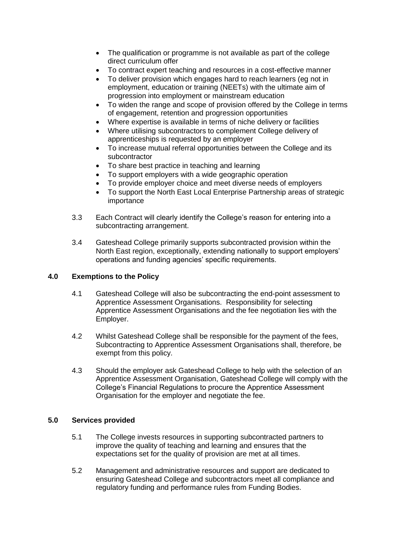- The qualification or programme is not available as part of the college direct curriculum offer
- To contract expert teaching and resources in a cost-effective manner
- To deliver provision which engages hard to reach learners (eg not in employment, education or training (NEETs) with the ultimate aim of progression into employment or mainstream education
- To widen the range and scope of provision offered by the College in terms of engagement, retention and progression opportunities
- Where expertise is available in terms of niche delivery or facilities
- Where utilising subcontractors to complement College delivery of apprenticeships is requested by an employer
- To increase mutual referral opportunities between the College and its subcontractor
- To share best practice in teaching and learning
- To support employers with a wide geographic operation
- To provide employer choice and meet diverse needs of employers
- To support the North East Local Enterprise Partnership areas of strategic importance
- 3.3 Each Contract will clearly identify the College's reason for entering into a subcontracting arrangement.
- 3.4 Gateshead College primarily supports subcontracted provision within the North East region, exceptionally, extending nationally to support employers' operations and funding agencies' specific requirements.

## **4.0 Exemptions to the Policy**

- 4.1 Gateshead College will also be subcontracting the end-point assessment to Apprentice Assessment Organisations. Responsibility for selecting Apprentice Assessment Organisations and the fee negotiation lies with the Employer.
- 4.2 Whilst Gateshead College shall be responsible for the payment of the fees, Subcontracting to Apprentice Assessment Organisations shall, therefore, be exempt from this policy.
- 4.3 Should the employer ask Gateshead College to help with the selection of an Apprentice Assessment Organisation, Gateshead College will comply with the College's Financial Regulations to procure the Apprentice Assessment Organisation for the employer and negotiate the fee.

## **5.0 Services provided**

- 5.1 The College invests resources in supporting subcontracted partners to improve the quality of teaching and learning and ensures that the expectations set for the quality of provision are met at all times.
- 5.2 Management and administrative resources and support are dedicated to ensuring Gateshead College and subcontractors meet all compliance and regulatory funding and performance rules from Funding Bodies.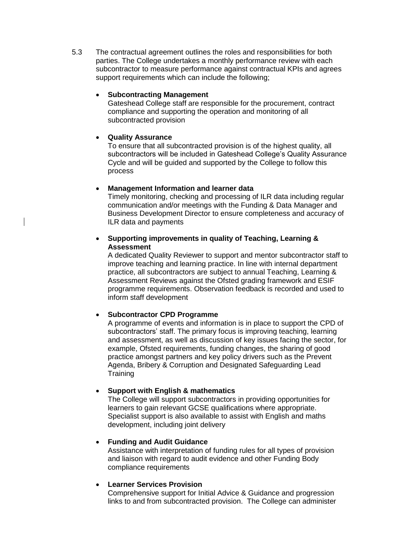5.3 The contractual agreement outlines the roles and responsibilities for both parties. The College undertakes a monthly performance review with each subcontractor to measure performance against contractual KPIs and agrees support requirements which can include the following;

## • **Subcontracting Management**

Gateshead College staff are responsible for the procurement, contract compliance and supporting the operation and monitoring of all subcontracted provision

## • **Quality Assurance**

To ensure that all subcontracted provision is of the highest quality, all subcontractors will be included in Gateshead College's Quality Assurance Cycle and will be guided and supported by the College to follow this process

## • **Management Information and learner data**

Timely monitoring, checking and processing of ILR data including regular communication and/or meetings with the Funding & Data Manager and Business Development Director to ensure completeness and accuracy of ILR data and payments

## • **Supporting improvements in quality of Teaching, Learning & Assessment**

A dedicated Quality Reviewer to support and mentor subcontractor staff to improve teaching and learning practice. In line with internal department practice, all subcontractors are subject to annual Teaching, Learning & Assessment Reviews against the Ofsted grading framework and ESIF programme requirements. Observation feedback is recorded and used to inform staff development

# • **Subcontractor CPD Programme**

A programme of events and information is in place to support the CPD of subcontractors' staff. The primary focus is improving teaching, learning and assessment, as well as discussion of key issues facing the sector, for example, Ofsted requirements, funding changes, the sharing of good practice amongst partners and key policy drivers such as the Prevent Agenda, Bribery & Corruption and Designated Safeguarding Lead **Training** 

# • **Support with English & mathematics**

The College will support subcontractors in providing opportunities for learners to gain relevant GCSE qualifications where appropriate. Specialist support is also available to assist with English and maths development, including joint delivery

## • **Funding and Audit Guidance**

Assistance with interpretation of funding rules for all types of provision and liaison with regard to audit evidence and other Funding Body compliance requirements

## • **Learner Services Provision**

Comprehensive support for Initial Advice & Guidance and progression links to and from subcontracted provision. The College can administer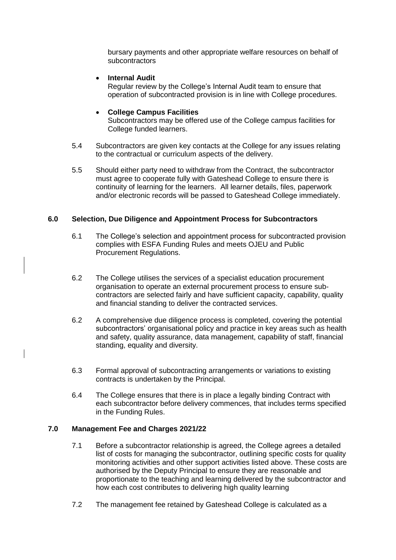bursary payments and other appropriate welfare resources on behalf of **subcontractors** 

• **Internal Audit** 

Regular review by the College's Internal Audit team to ensure that operation of subcontracted provision is in line with College procedures.

#### • **College Campus Facilities**

Subcontractors may be offered use of the College campus facilities for College funded learners.

- 5.4 Subcontractors are given key contacts at the College for any issues relating to the contractual or curriculum aspects of the delivery.
- 5.5 Should either party need to withdraw from the Contract, the subcontractor must agree to cooperate fully with Gateshead College to ensure there is continuity of learning for the learners. All learner details, files, paperwork and/or electronic records will be passed to Gateshead College immediately.

#### **6.0 Selection, Due Diligence and Appointment Process for Subcontractors**

- 6.1 The College's selection and appointment process for subcontracted provision complies with ESFA Funding Rules and meets OJEU and Public Procurement Regulations.
- 6.2 The College utilises the services of a specialist education procurement organisation to operate an external procurement process to ensure subcontractors are selected fairly and have sufficient capacity, capability, quality and financial standing to deliver the contracted services.
- 6.2 A comprehensive due diligence process is completed, covering the potential subcontractors' organisational policy and practice in key areas such as health and safety, quality assurance, data management, capability of staff, financial standing, equality and diversity.
- 6.3 Formal approval of subcontracting arrangements or variations to existing contracts is undertaken by the Principal.
- 6.4 The College ensures that there is in place a legally binding Contract with each subcontractor before delivery commences, that includes terms specified in the Funding Rules.

## **7.0 Management Fee and Charges 2021/22**

- 7.1 Before a subcontractor relationship is agreed, the College agrees a detailed list of costs for managing the subcontractor, outlining specific costs for quality monitoring activities and other support activities listed above. These costs are authorised by the Deputy Principal to ensure they are reasonable and proportionate to the teaching and learning delivered by the subcontractor and how each cost contributes to delivering high quality learning
- 7.2 The management fee retained by Gateshead College is calculated as a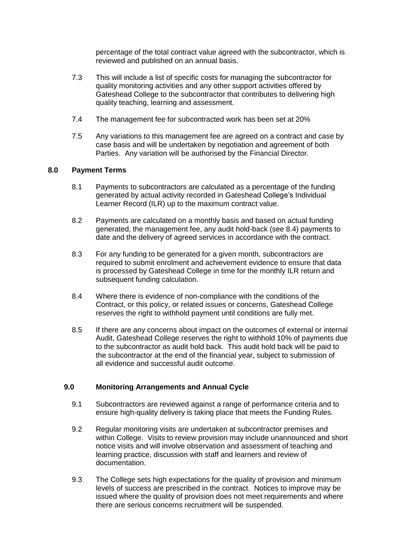percentage of the total contract value agreed with the subcontractor, which is reviewed and published on an annual basis.

- 7.3 This will include a list of specific costs for managing the subcontractor for quality monitoring activities and any other support activities offered by Gateshead College to the subcontractor that contributes to delivering high quality teaching, learning and assessment.
- 7.4 The management fee for subcontracted work has been set at 20%
- 7.5 Any variations to this management fee are agreed on a contract and case by case basis and will be undertaken by negotiation and agreement of both Parties. Any variation will be authorised by the Financial Director.

## **8.0 Payment Terms**

- 8.1 Payments to subcontractors are calculated as a percentage of the funding generated by actual activity recorded in Gateshead College's Individual Learner Record (ILR) up to the maximum contract value.
- 8.2 Payments are calculated on a monthly basis and based on actual funding generated, the management fee, any audit hold-back (see 8.4) payments to date and the delivery of agreed services in accordance with the contract.
- 8.3 For any funding to be generated for a given month, subcontractors are required to submit enrolment and achievement evidence to ensure that data is processed by Gateshead College in time for the monthly ILR return and subsequent funding calculation.
- 8.4 Where there is evidence of non-compliance with the conditions of the Contract, or this policy, or related issues or concerns, Gateshead College reserves the right to withhold payment until conditions are fully met.
- 8.5 If there are any concerns about impact on the outcomes of external or internal Audit, Gateshead College reserves the right to withhold 10% of payments due to the subcontractor as audit hold back. This audit hold back will be paid to the subcontractor at the end of the financial year, subject to submission of all evidence and successful audit outcome.

## **9.0 Monitoring Arrangements and Annual Cycle**

- 9.1 Subcontractors are reviewed against a range of performance criteria and to ensure high-quality delivery is taking place that meets the Funding Rules.
- 9.2 Regular monitoring visits are undertaken at subcontractor premises and within College. Visits to review provision may include unannounced and short notice visits and will involve observation and assessment of teaching and learning practice, discussion with staff and learners and review of documentation.
- 9.3 The College sets high expectations for the quality of provision and minimum levels of success are prescribed in the contract. Notices to improve may be issued where the quality of provision does not meet requirements and where there are serious concerns recruitment will be suspended.